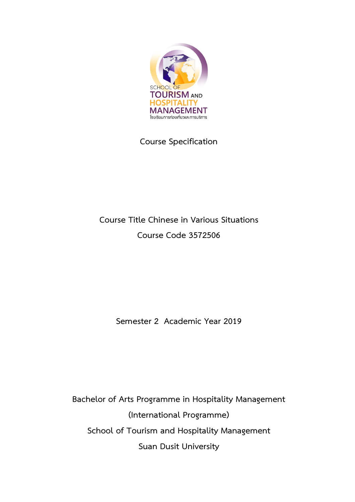

# **Course Specification**

# **Course Title Chinese in Various Situations Course Code 3572506**

**Semester 2 Academic Year 2019**

**Bachelor of Arts Programme in Hospitality Management (International Programme) School of Tourism and Hospitality Management Suan Dusit University**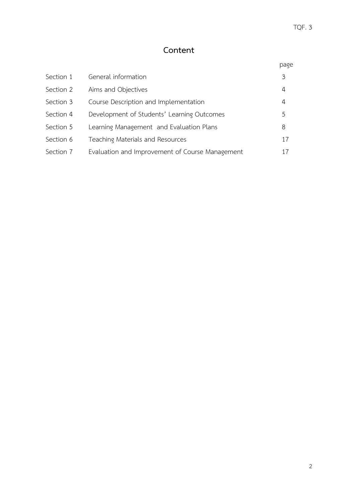# **Content**

|           |                                                 | page |
|-----------|-------------------------------------------------|------|
| Section 1 | General information                             | 3    |
| Section 2 | Aims and Objectives                             | 4    |
| Section 3 | Course Description and Implementation           | 4    |
| Section 4 | Development of Students' Learning Outcomes      | 5    |
| Section 5 | Learning Management and Evaluation Plans        | 8    |
| Section 6 | Teaching Materials and Resources                | 17   |
| Section 7 | Evaluation and Improvement of Course Management | 17   |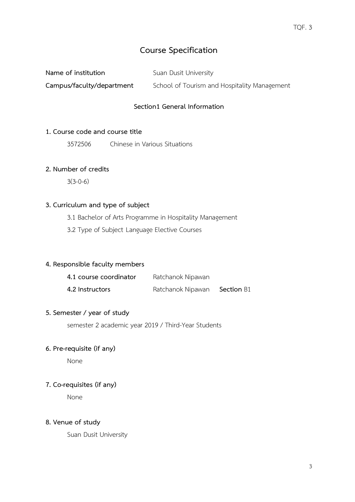## **Course Specification**

**Name of institution** Suan Dusit University

**Campus/faculty/department** School of Tourism and Hospitality Management

## **Section1 General Information**

#### **1. Course code and course title**

3572506 Chinese in Various Situations

#### **2. Number of credits**

3(3-0-6)

### **3. Curriculum and type of subject**

3.1 Bachelor of Arts Programme in Hospitality Management

3.2 Type of Subject Language Elective Courses

### **4. Responsible faculty members**

| 4.1 course coordinator | Ratchanok Nipawan |                   |
|------------------------|-------------------|-------------------|
| 4.2 Instructors        | Ratchanok Nipawan | <b>Section B1</b> |

### **5. Semester / year of study**

semester 2 academic year 2019 / Third-Year Students

## **6. Pre-requisite (if any)**

None

### **7. Co-requisites (if any)**

None

### **8. Venue of study**

Suan Dusit University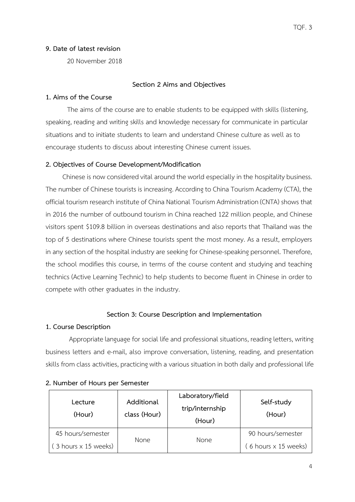## **9. Date of latest revision**

20 November 2018

## **Section 2 Aims and Objectives**

## **1. Aims of the Course**

The aims of the course are to enable students to be equipped with skills (listening, speaking, reading and writing skills and knowledge necessary for communicate in particular situations and to initiate students to learn and understand Chinese culture as well as to encourage students to discuss about interesting Chinese current issues.

## **2. Objectives of Course Development/Modification**

Chinese is now considered vital around the world especially in the hospitality business. The number of Chinese tourists is increasing. According to China Tourism Academy (CTA), the official tourism research institute of China National Tourism Administration (CNTA) shows that in 2016 the number of outbound tourism in China reached 122 million people, and Chinese visitors spent \$109.8 billion in overseas destinations and also reports that Thailand was the top of 5 destinations where Chinese tourists spent the most money. As a result, employers in any section of the hospital industry are seeking for Chinese-speaking personnel. Therefore, the school modifies this course, in terms of the course content and studying and teaching technics (Active Learning Technic) to help students to become fluent in Chinese in order to compete with other graduates in the industry.

### **Section 3: Course Description and Implementation**

### **1. Course Description**

Appropriate language for social life and professional situations, reading letters, writing business letters and e-mail, also improve conversation, listening, reading, and presentation skills from class activities, practicing with a various situation in both daily and professional life

| Lecture<br>(Hour)    | Additional<br>class (Hour) | Laboratory/field<br>trip/internship<br>(Hour) | Self-study<br>(Hour) |
|----------------------|----------------------------|-----------------------------------------------|----------------------|
| 45 hours/semester    | <b>None</b>                |                                               | 90 hours/semester    |
| (3 hours × 15 weeks) |                            | None                                          | (6 hours x 15 weeks) |

### **2. Number of Hours per Semester**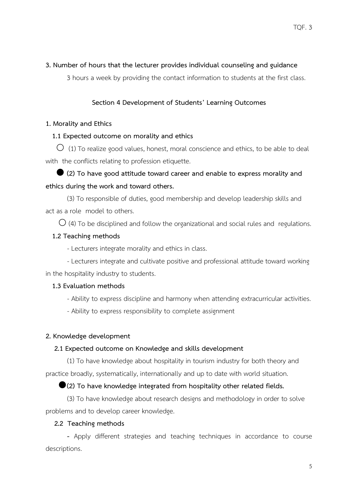## **3. Number of hours that the lecturer provides individual counseling and guidance**

3 hours a week by providing the contact information to students at the first class.

## **Section 4 Development of Students' Learning Outcomes**

## **1. Morality and Ethics**

## **1.1 Expected outcome on morality and ethics**

 $\overline{O}$  (1) To realize good values, honest, moral conscience and ethics, to be able to deal with the conflicts relating to profession etiquette.

# **(2) To have good attitude toward career and enable to express morality and ethics during the work and toward others.**

(3) To responsible of duties, good membership and develop leadership skills and act as a role model to others.

 $\bigcirc$  (4) To be disciplined and follow the organizational and social rules and regulations.

## **1.2 Teaching methods**

- Lecturers integrate morality and ethics in class.

- Lecturers integrate and cultivate positive and professional attitude toward working in the hospitality industry to students.

## **1.3 Evaluation methods**

- Ability to express discipline and harmony when attending extracurricular activities.

- Ability to express responsibility to complete assignment

## **2. Knowledge development**

## **2.1 Expected outcome on Knowledge and skills development**

(1) To have knowledge about hospitality in tourism industry for both theory and practice broadly, systematically, internationally and up to date with world situation.

## **(2) To have knowledge integrated from hospitality other related fields.**

(3) To have knowledge about research designs and methodology in order to solve problems and to develop career knowledge.

## **2.2 Teaching methods**

**-** Apply different strategies and teaching techniques in accordance to course descriptions.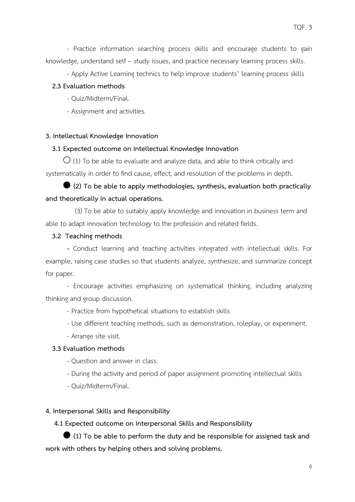- Apply Active Learning technics to help improve students' learning process skills

## **2.3 Evaluation methods**

- Quiz/Midterm/Final.
- Assignment and activities.

## **3. Intellectual Knowledge Innovation**

## **3.1 Expected outcome on Intellectual Knowledge Innovation**

 $\bigcirc$  (1) To be able to evaluate and analyze data, and able to think critically and systematically in order to find cause, effect, and resolution of the problems in depth.

 **(2) To be able to apply methodologies, synthesis, evaluation both practically and theoretically in actual operations.**

 (3) To be able to suitably apply knowledge and innovation in business term and able to adapt innovation technology to the profession and related fields.

## **3.2 Teaching methods**

**-** Conduct learning and teaching activities integrated with intellectual skills. For example, raising case studies so that students analyze, synthesize, and summarize concept for paper.

- Encourage activities emphasizing on systematical thinking, including analyzing thinking and group discussion.

- Practice from hypothetical situations to establish skills
- Use different teaching methods, such as demonstration, roleplay, or experiment.
- Arrange site visit.

## **3.3 Evaluation methods**

- Question and answer in class.
- During the activity and period of paper assignment promoting intellectual skills
- Quiz/Midterm/Final.

## **4. Interpersonal Skills and Responsibility**

 **4.1 Expected outcome on Interpersonal Skills and Responsibility**

 **(1) To be able to perform the duty and be responsible for assigned task and work with others by helping others and solving problems.**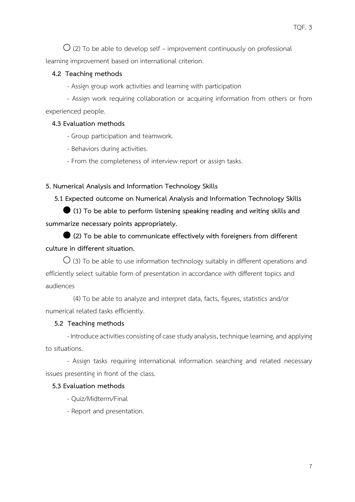$\overline{O}$  (2) To be able to develop self – improvement continuously on professional learning improvement based on international criterion.

#### **4.2 Teaching methods**

- Assign group work activities and learning with participation

- Assign work requiring collaboration or acquiring information from others or from experienced people.

#### **4.3 Evaluation methods**

- Group participation and teamwork.
- Behaviors during activities.
- From the completeness of interview report or assign tasks.

#### **5. Numerical Analysis and Information Technology Skills**

 **5.1 Expected outcome on Numerical Analysis and Information Technology Skills**

 **(1) To be able to perform listening speaking reading and writing skills and summarize necessary points appropriately.**

 **(2) To be able to communicate effectively with foreigners from different culture in different situation.**

 $\bigcirc$  (3) To be able to use information technology suitably in different operations and efficiently select suitable form of presentation in accordance with different topics and audiences

 (4) To be able to analyze and interpret data, facts, figures, statistics and/or numerical related tasks efficiently.

#### **5.2 Teaching methods**

- Introduce activities consisting of case study analysis, technique learning, and applying to situations.

- Assign tasks requiring international information searching and related necessary issues presenting in front of the class.

#### **5.3 Evaluation methods**

- Quiz/Midterm/Final
- Report and presentation.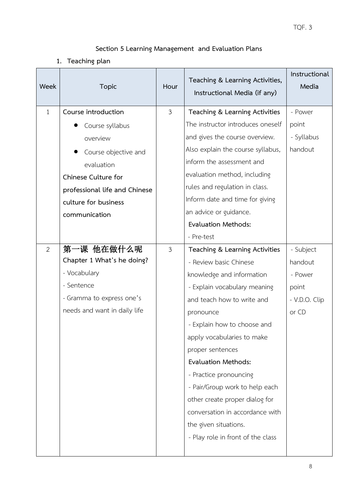## **Section 5 Learning Management and Evaluation Plans**

**1. Teaching plan**

| Week         | <b>Topic</b>                  | Hour           | Teaching & Learning Activities,<br>Instructional Media (if any) | Instructional<br>Media |
|--------------|-------------------------------|----------------|-----------------------------------------------------------------|------------------------|
| $\mathbf{1}$ | Course introduction           | $\mathfrak{Z}$ | Teaching & Learning Activities                                  | - Power                |
|              | Course syllabus               |                | The instructor introduces oneself                               | point                  |
|              | overview                      |                | and gives the course overview.                                  | - Syllabus             |
|              | Course objective and          |                | Also explain the course syllabus,                               | handout                |
|              | evaluation                    |                | inform the assessment and                                       |                        |
|              | Chinese Culture for           |                | evaluation method, including                                    |                        |
|              | professional life and Chinese |                | rules and regulation in class.                                  |                        |
|              | culture for business          |                | Inform date and time for giving                                 |                        |
|              | communication                 |                | an advice or guidance.                                          |                        |
|              |                               |                | <b>Evaluation Methods:</b>                                      |                        |
|              |                               |                | - Pre-test                                                      |                        |
| 2            | 第一课 他在做什么呢                    | $\mathfrak{Z}$ | Teaching & Learning Activities                                  | - Subject              |
|              | Chapter 1 What's he doing?    |                | - Review basic Chinese                                          | handout                |
|              | - Vocabulary                  |                | knowledge and information                                       | - Power                |
|              | - Sentence                    |                | - Explain vocabulary meaning                                    | point                  |
|              | - Gramma to express one's     |                | and teach how to write and                                      | - V.D.O. Clip          |
|              | needs and want in daily life  |                | pronounce                                                       | or CD                  |
|              |                               |                | - Explain how to choose and                                     |                        |
|              |                               |                | apply vocabularies to make                                      |                        |
|              |                               |                | proper sentences                                                |                        |
|              |                               |                | <b>Evaluation Methods:</b>                                      |                        |
|              |                               |                | - Practice pronouncing                                          |                        |
|              |                               |                | - Pair/Group work to help each                                  |                        |
|              |                               |                | other create proper dialog for                                  |                        |
|              |                               |                | conversation in accordance with                                 |                        |
|              |                               |                | the given situations.                                           |                        |
|              |                               |                | - Play role in front of the class                               |                        |
|              |                               |                |                                                                 |                        |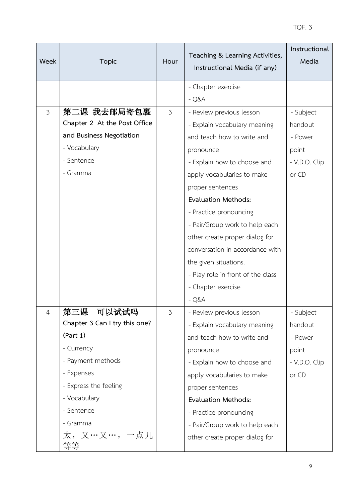| Week           | <b>Topic</b>                  | Hour           | Teaching & Learning Activities,<br>Instructional Media (if any) | Instructional<br>Media |
|----------------|-------------------------------|----------------|-----------------------------------------------------------------|------------------------|
|                |                               |                | - Chapter exercise                                              |                        |
|                |                               |                | $-Q&A$                                                          |                        |
| 3              | 第二课 我去邮局寄包裹                   | $\mathfrak{Z}$ | - Review previous lesson                                        | - Subject              |
|                | Chapter 2 At the Post Office  |                | - Explain vocabulary meaning                                    | handout                |
|                | and Business Negotiation      |                | and teach how to write and                                      | - Power                |
|                | - Vocabulary                  |                | pronounce                                                       | point                  |
|                | - Sentence                    |                | - Explain how to choose and                                     | - V.D.O. Clip          |
|                | - Gramma                      |                | apply vocabularies to make                                      | or CD                  |
|                |                               |                | proper sentences                                                |                        |
|                |                               |                | <b>Evaluation Methods:</b>                                      |                        |
|                |                               |                | - Practice pronouncing                                          |                        |
|                |                               |                | - Pair/Group work to help each                                  |                        |
|                |                               |                | other create proper dialog for                                  |                        |
|                |                               |                | conversation in accordance with                                 |                        |
|                |                               |                | the given situations.                                           |                        |
|                |                               |                | - Play role in front of the class                               |                        |
|                |                               |                | - Chapter exercise                                              |                        |
|                |                               |                | $-Q&A$                                                          |                        |
| $\overline{4}$ | 第三课<br>可以试试吗                  | $\mathfrak{Z}$ | - Review previous lesson                                        | - Subject              |
|                | Chapter 3 Can I try this one? |                | - Explain vocabulary meaning                                    | handout                |
|                | (Part 1)                      |                | and teach how to write and                                      | - Power                |
|                | - Currency                    |                | pronounce                                                       | point                  |
|                | - Payment methods             |                | - Explain how to choose and                                     | - V.D.O. Clip          |
|                | - Expenses                    |                | apply vocabularies to make                                      | or CD                  |
|                | - Express the feeling         |                | proper sentences                                                |                        |
|                | - Vocabulary                  |                | <b>Evaluation Methods:</b>                                      |                        |
|                | - Sentence                    |                | - Practice pronouncing                                          |                        |
|                | - Gramma                      |                | - Pair/Group work to help each                                  |                        |
|                | 太,又…又…,一点儿<br>等等              |                | other create proper dialog for                                  |                        |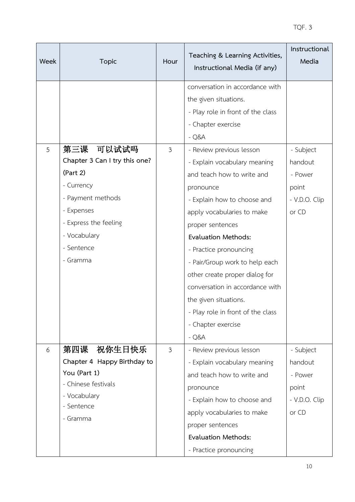| Week | <b>Topic</b>                                                                                                                                                               | Hour           | Teaching & Learning Activities,<br>Instructional Media (if any)                                                                                                                                                                                                                                                                                                                                                                                   | Instructional<br>Media                                             |
|------|----------------------------------------------------------------------------------------------------------------------------------------------------------------------------|----------------|---------------------------------------------------------------------------------------------------------------------------------------------------------------------------------------------------------------------------------------------------------------------------------------------------------------------------------------------------------------------------------------------------------------------------------------------------|--------------------------------------------------------------------|
|      |                                                                                                                                                                            |                | conversation in accordance with<br>the given situations.<br>- Play role in front of the class<br>- Chapter exercise<br>$-Q&A$                                                                                                                                                                                                                                                                                                                     |                                                                    |
| 5    | 第三课 可以试试吗<br>Chapter 3 Can I try this one?<br>(Part 2)<br>- Currency<br>- Payment methods<br>- Expenses<br>- Express the feeling<br>- Vocabulary<br>- Sentence<br>- Gramma | 3              | - Review previous lesson<br>- Explain vocabulary meaning<br>and teach how to write and<br>pronounce<br>- Explain how to choose and<br>apply vocabularies to make<br>proper sentences<br><b>Evaluation Methods:</b><br>- Practice pronouncing<br>- Pair/Group work to help each<br>other create proper dialog for<br>conversation in accordance with<br>the given situations.<br>- Play role in front of the class<br>- Chapter exercise<br>$-Q&A$ | - Subject<br>handout<br>- Power<br>point<br>- V.D.O. Clip<br>or CD |
| 6    | 祝你生日快乐<br>第四课<br>Chapter 4 Happy Birthday to<br>You (Part 1)<br>- Chinese festivals<br>- Vocabulary<br>- Sentence<br>- Gramma                                              | $\mathfrak{Z}$ | - Review previous lesson<br>- Explain vocabulary meaning<br>and teach how to write and<br>pronounce<br>- Explain how to choose and<br>apply vocabularies to make<br>proper sentences<br><b>Evaluation Methods:</b><br>- Practice pronouncing                                                                                                                                                                                                      | - Subject<br>handout<br>- Power<br>point<br>- V.D.O. Clip<br>or CD |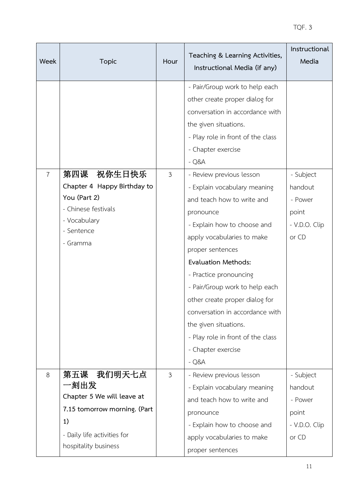| Week           | <b>Topic</b>                                                                                                                  | Hour           | Teaching & Learning Activities,<br>Instructional Media (if any)                                                                                                                                                                                                                                                                                                                                                                                                                                                                                                                                                                              | Instructional<br>Media                                             |
|----------------|-------------------------------------------------------------------------------------------------------------------------------|----------------|----------------------------------------------------------------------------------------------------------------------------------------------------------------------------------------------------------------------------------------------------------------------------------------------------------------------------------------------------------------------------------------------------------------------------------------------------------------------------------------------------------------------------------------------------------------------------------------------------------------------------------------------|--------------------------------------------------------------------|
| $\overline{7}$ | 第四课<br>祝你生日快乐<br>Chapter 4 Happy Birthday to<br>You (Part 2)<br>- Chinese festivals<br>- Vocabulary<br>- Sentence<br>- Gramma | $\mathfrak{Z}$ | - Pair/Group work to help each<br>other create proper dialog for<br>conversation in accordance with<br>the given situations.<br>- Play role in front of the class<br>- Chapter exercise<br>$-Q&A$<br>- Review previous lesson<br>- Explain vocabulary meaning<br>and teach how to write and<br>pronounce<br>- Explain how to choose and<br>apply vocabularies to make<br>proper sentences<br><b>Evaluation Methods:</b><br>- Practice pronouncing<br>- Pair/Group work to help each<br>other create proper dialog for<br>conversation in accordance with<br>the given situations.<br>- Play role in front of the class<br>- Chapter exercise | - Subject<br>handout<br>- Power<br>point<br>- V.D.O. Clip<br>or CD |
| 8              | 我们明天七点<br>第五课<br>一刻出发<br>Chapter 5 We will leave at                                                                           | $\mathfrak{Z}$ | $-Q&A$<br>- Review previous lesson<br>- Explain vocabulary meaning<br>and teach how to write and                                                                                                                                                                                                                                                                                                                                                                                                                                                                                                                                             | - Subject<br>handout<br>- Power                                    |
|                | 7.15 tomorrow morning. (Part<br>1)<br>- Daily life activities for<br>hospitality business                                     |                | pronounce<br>- Explain how to choose and<br>apply vocabularies to make<br>proper sentences                                                                                                                                                                                                                                                                                                                                                                                                                                                                                                                                                   | point<br>- V.D.O. Clip<br>or CD                                    |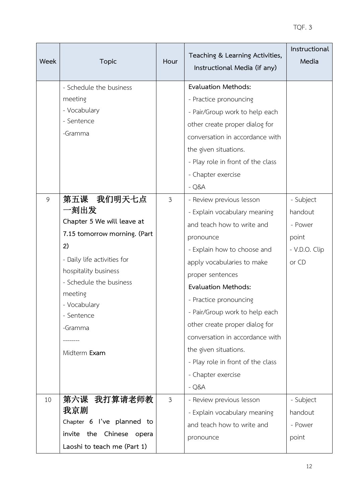| Week | <b>Topic</b>                       | Hour           | Teaching & Learning Activities,<br>Instructional Media (if any) | Instructional<br>Media |
|------|------------------------------------|----------------|-----------------------------------------------------------------|------------------------|
|      | - Schedule the business            |                | <b>Evaluation Methods:</b>                                      |                        |
|      | meeting                            |                | - Practice pronouncing                                          |                        |
|      | - Vocabulary                       |                | - Pair/Group work to help each                                  |                        |
|      | - Sentence                         |                | other create proper dialog for                                  |                        |
|      | -Gramma                            |                | conversation in accordance with                                 |                        |
|      |                                    |                | the given situations.                                           |                        |
|      |                                    |                | - Play role in front of the class                               |                        |
|      |                                    |                | - Chapter exercise                                              |                        |
|      |                                    |                | $-Q&A$                                                          |                        |
| 9    | 第五课 我们明天七点                         | $\mathfrak{Z}$ | - Review previous lesson                                        | - Subject              |
|      | 一刻出发                               |                | - Explain vocabulary meaning                                    | handout                |
|      | Chapter 5 We will leave at         |                | and teach how to write and                                      | - Power                |
|      | 7.15 tomorrow morning. (Part       |                | pronounce                                                       | point                  |
|      | 2)                                 |                | - Explain how to choose and                                     | - V.D.O. Clip          |
|      | - Daily life activities for        |                | apply vocabularies to make                                      | or CD                  |
|      | hospitality business               |                | proper sentences                                                |                        |
|      | - Schedule the business<br>meeting |                | <b>Evaluation Methods:</b>                                      |                        |
|      | - Vocabulary                       |                | - Practice pronouncing                                          |                        |
|      | - Sentence                         |                | - Pair/Group work to help each                                  |                        |
|      | -Gramma                            |                | other create proper dialog for                                  |                        |
|      |                                    |                | conversation in accordance with                                 |                        |
|      | Midterm Exam                       |                | the given situations.                                           |                        |
|      |                                    |                | - Play role in front of the class                               |                        |
|      |                                    |                | - Chapter exercise                                              |                        |
|      |                                    |                | $-Q&A$                                                          |                        |
| 10   | 第六课 我打算请老师教                        | $\mathfrak{Z}$ | - Review previous lesson                                        | - Subject              |
|      | 我京剧                                |                | - Explain vocabulary meaning                                    | handout                |
|      | Chapter 6 I've planned to          |                | and teach how to write and                                      | - Power                |
|      | invite the Chinese opera           |                | pronounce                                                       | point                  |
|      | Laoshi to teach me (Part 1)        |                |                                                                 |                        |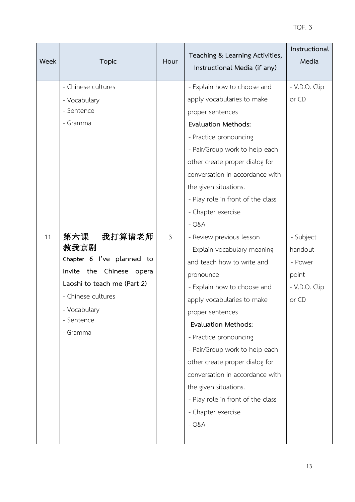| Week | <b>Topic</b>                   | Hour           | Teaching & Learning Activities,<br>Instructional Media (if any) | Instructional<br>Media |
|------|--------------------------------|----------------|-----------------------------------------------------------------|------------------------|
|      | - Chinese cultures             |                | - Explain how to choose and                                     | - V.D.O. Clip          |
|      | - Vocabulary                   |                | apply vocabularies to make                                      | or CD                  |
|      | - Sentence                     |                | proper sentences                                                |                        |
|      | - Gramma                       |                | <b>Evaluation Methods:</b>                                      |                        |
|      |                                |                | - Practice pronouncing                                          |                        |
|      |                                |                | - Pair/Group work to help each                                  |                        |
|      |                                |                | other create proper dialog for                                  |                        |
|      |                                |                | conversation in accordance with                                 |                        |
|      |                                |                | the given situations.                                           |                        |
|      |                                |                | - Play role in front of the class                               |                        |
|      |                                |                | - Chapter exercise                                              |                        |
|      |                                |                | $-Q&A$                                                          |                        |
| 11   | 第六课<br>我打算请老师                  | $\mathfrak{Z}$ | - Review previous lesson                                        | - Subject              |
|      | 教我京剧                           |                | - Explain vocabulary meaning                                    | handout                |
|      | Chapter 6 I've planned to      |                | and teach how to write and                                      | - Power                |
|      | invite<br>the Chinese<br>opera |                | pronounce                                                       | point                  |
|      | Laoshi to teach me (Part 2)    |                | - Explain how to choose and                                     | - V.D.O. Clip          |
|      | - Chinese cultures             |                | apply vocabularies to make                                      | or CD                  |
|      | - Vocabulary                   |                | proper sentences                                                |                        |
|      | - Sentence                     |                | <b>Evaluation Methods:</b>                                      |                        |
|      | - Gramma                       |                | - Practice pronouncing                                          |                        |
|      |                                |                | - Pair/Group work to help each                                  |                        |
|      |                                |                | other create proper dialog for                                  |                        |
|      |                                |                | conversation in accordance with                                 |                        |
|      |                                |                | the given situations.                                           |                        |
|      |                                |                | - Play role in front of the class                               |                        |
|      |                                |                | - Chapter exercise                                              |                        |
|      |                                |                | $-Q&A$                                                          |                        |
|      |                                |                |                                                                 |                        |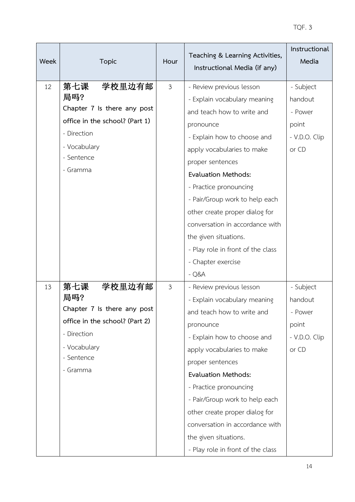| Week | <b>Topic</b>                                                                                                                                   | Hour           | Teaching & Learning Activities,<br>Instructional Media (if any)                                                                                                                                                                                                                                                                                                                                                   | Instructional<br>Media                                             |
|------|------------------------------------------------------------------------------------------------------------------------------------------------|----------------|-------------------------------------------------------------------------------------------------------------------------------------------------------------------------------------------------------------------------------------------------------------------------------------------------------------------------------------------------------------------------------------------------------------------|--------------------------------------------------------------------|
| 12   | 第七课<br>学校里边有邮<br>局吗?<br>Chapter 7 Is there any post<br>office in the school? (Part 1)<br>- Direction<br>- Vocabulary<br>- Sentence<br>- Gramma | $\mathfrak{Z}$ | - Review previous lesson<br>- Explain vocabulary meaning<br>and teach how to write and<br>pronounce<br>- Explain how to choose and<br>apply vocabularies to make<br>proper sentences<br><b>Evaluation Methods:</b><br>- Practice pronouncing<br>- Pair/Group work to help each<br>other create proper dialog for                                                                                                  | - Subject<br>handout<br>- Power<br>point<br>- V.D.O. Clip<br>or CD |
|      |                                                                                                                                                |                | conversation in accordance with<br>the given situations.<br>- Play role in front of the class<br>- Chapter exercise<br>$-Q&A$                                                                                                                                                                                                                                                                                     |                                                                    |
| 13   | 第七课<br>学校里边有邮<br>局吗?<br>Chapter 7 Is there any post<br>office in the school? (Part 2)<br>- Direction<br>- Vocabulary<br>- Sentence<br>- Gramma | $\mathfrak{Z}$ | - Review previous lesson<br>- Explain vocabulary meaning<br>and teach how to write and<br>pronounce<br>- Explain how to choose and<br>apply vocabularies to make<br>proper sentences<br><b>Evaluation Methods:</b><br>- Practice pronouncing<br>- Pair/Group work to help each<br>other create proper dialog for<br>conversation in accordance with<br>the given situations.<br>- Play role in front of the class | - Subject<br>handout<br>- Power<br>point<br>- V.D.O. Clip<br>or CD |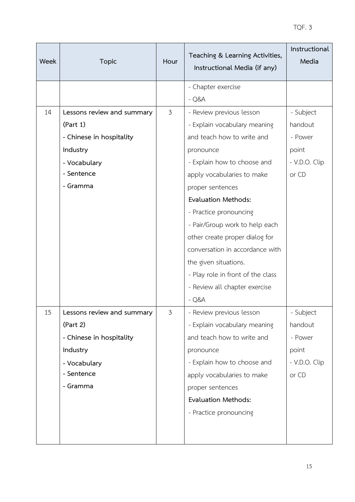| Week | <b>Topic</b>               | Hour           | Teaching & Learning Activities,<br>Instructional Media (if any) | Instructional<br>Media |
|------|----------------------------|----------------|-----------------------------------------------------------------|------------------------|
|      |                            |                | - Chapter exercise                                              |                        |
|      |                            |                | $-Q&A$                                                          |                        |
| 14   | Lessons review and summary | $\mathfrak{Z}$ | - Review previous lesson                                        | - Subject              |
|      | (Part 1)                   |                | - Explain vocabulary meaning                                    | handout                |
|      | - Chinese in hospitality   |                | and teach how to write and                                      | - Power                |
|      | Industry                   |                | pronounce                                                       | point                  |
|      | - Vocabulary               |                | - Explain how to choose and                                     | - V.D.O. Clip          |
|      | - Sentence                 |                | apply vocabularies to make                                      | or CD                  |
|      | - Gramma                   |                | proper sentences                                                |                        |
|      |                            |                | <b>Evaluation Methods:</b>                                      |                        |
|      |                            |                | - Practice pronouncing                                          |                        |
|      |                            |                | - Pair/Group work to help each                                  |                        |
|      |                            |                | other create proper dialog for                                  |                        |
|      |                            |                | conversation in accordance with                                 |                        |
|      |                            |                | the given situations.                                           |                        |
|      |                            |                | - Play role in front of the class                               |                        |
|      |                            |                | - Review all chapter exercise                                   |                        |
|      |                            |                | $-Q&A$                                                          |                        |
| 15   | Lessons review and summary | $\mathfrak{Z}$ | - Review previous lesson                                        | - Subject              |
|      | (Part 2)                   |                | - Explain vocabulary meaning                                    | handout                |
|      | - Chinese in hospitality   |                | and teach how to write and                                      | - Power                |
|      | Industry                   |                | pronounce                                                       | point                  |
|      | - Vocabulary               |                | - Explain how to choose and                                     | - V.D.O. Clip          |
|      | - Sentence                 |                | apply vocabularies to make                                      | or CD                  |
|      | - Gramma                   |                | proper sentences                                                |                        |
|      |                            |                | Evaluation Methods:                                             |                        |
|      |                            |                | - Practice pronouncing                                          |                        |
|      |                            |                |                                                                 |                        |
|      |                            |                |                                                                 |                        |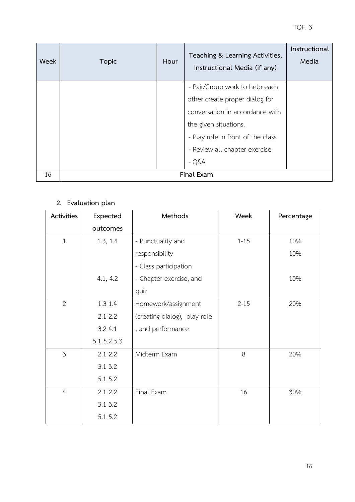| Week | <b>Topic</b> | Hour | Teaching & Learning Activities,<br>Instructional Media (if any) | Instructional<br>Media |
|------|--------------|------|-----------------------------------------------------------------|------------------------|
|      |              |      | - Pair/Group work to help each                                  |                        |
|      |              |      | other create proper dialog for                                  |                        |
|      |              |      | conversation in accordance with                                 |                        |
|      |              |      | the given situations.                                           |                        |
|      |              |      | - Play role in front of the class                               |                        |
|      |              |      | - Review all chapter exercise                                   |                        |
|      |              |      | $-Q&A$                                                          |                        |
| 16   |              |      | Final Exam                                                      |                        |

## **2. Evaluation plan**

| Activities     | Expected    | Methods                      | Week     | Percentage |
|----------------|-------------|------------------------------|----------|------------|
|                | outcomes    |                              |          |            |
| $\mathbf{1}$   | 1.3, 1.4    | - Punctuality and            | $1 - 15$ | 10%        |
|                |             | responsibility               |          | 10%        |
|                |             | - Class participation        |          |            |
|                | 4.1, 4.2    | - Chapter exercise, and      |          | 10%        |
|                |             | quiz                         |          |            |
| $\overline{2}$ | 1.3 1.4     | Homework/assignment          | $2 - 15$ | 20%        |
|                | 2.12.2      | (creating dialog), play role |          |            |
|                | 3.2 4.1     | , and performance            |          |            |
|                | 5.1 5.2 5.3 |                              |          |            |
| $\mathfrak{Z}$ | 2.12.2      | Midterm Exam                 | 8        | 20%        |
|                | 3.1 3.2     |                              |          |            |
|                | 5.1 5.2     |                              |          |            |
| $\overline{4}$ | 2.12.2      | Final Exam                   | 16       | 30%        |
|                | 3.1 3.2     |                              |          |            |
|                | 5.1 5.2     |                              |          |            |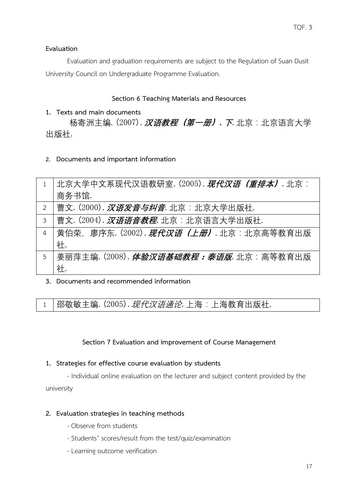## **Evaluation**

Evaluation and graduation requirements are subject to the Regulation of Suan Dusit University Council on Undergraduate Programme Evaluation.

## **Section 6 Teaching Materials and Resources**

## **1. Texts and main documents**

杨寄洲主编.(2007).**汉语教程(第一册)**.**下**.北京:北京语言大学 出版社.

**2. Documents and important information** 

|                | 北京大学中文系现代汉语教研室. (2005). <i>现代汉语(重排本)</i> . 北京:       |
|----------------|------------------------------------------------------|
|                | 商务书馆.                                                |
| 2              | 曹文. (2000). 汉语发音与纠音. 北京: 北京大学出版社.                    |
| 3              | 曹文. (2004). <b>汉<i>语语音教程</i></b> . 北京:北京语言大学出版社.     |
| $\overline{4}$ | 黄伯荣,廖序东. (2002). <b><i>现代汉语(上册)</i>.</b> 北京:北京高等教育出版 |
|                | 社.                                                   |
| 5              | 姜丽萍主编. (2008). <i>体验汉语基础教程:泰语版</i> . 北京:高等教育出版       |
|                | 社.                                                   |

**3. Documents and recommended information**

 $1$  | 邵敬敏主编. (2005).  $\mathcal{H}\mathcal{H}\mathcal{X}$ 语通论. 上海: 上海教育出版社.

## **Section 7 Evaluation and Improvement of Course Management**

### **1. Strategies for effective course evaluation by students**

- Individual online evaluation on the lecturer and subject content provided by the university

### **2. Evaluation strategies in teaching methods**

- Observe from students
- Students' scores/result from the test/quiz/examination
- Learning outcome verification